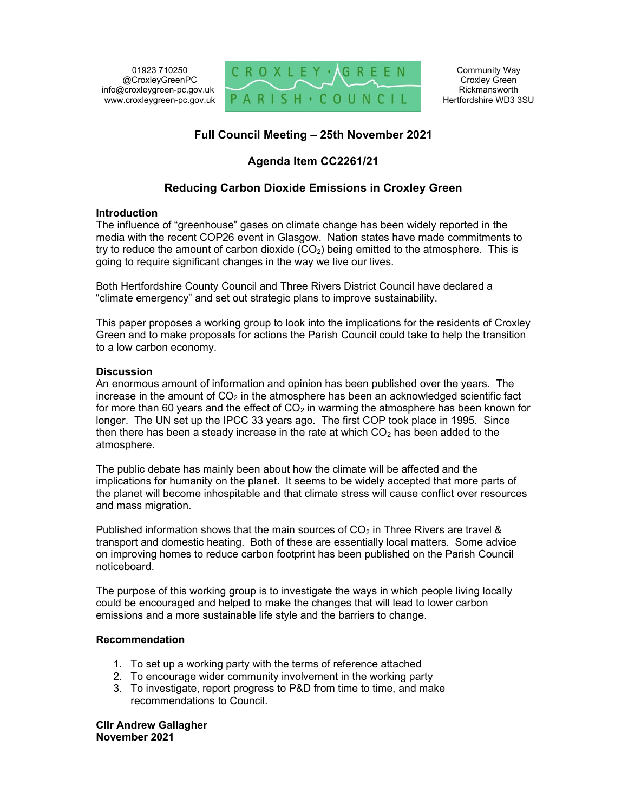01923 710250 @CroxleyGreenPC info@croxleygreen-pc.gov.uk www.croxleygreen-pc.gov.uk



# Full Council Meeting – 25th November 2021

# Agenda Item CC2261/21

# Reducing Carbon Dioxide Emissions in Croxley Green

## Introduction

The influence of "greenhouse" gases on climate change has been widely reported in the media with the recent COP26 event in Glasgow. Nation states have made commitments to try to reduce the amount of carbon dioxide  $(CO<sub>2</sub>)$  being emitted to the atmosphere. This is going to require significant changes in the way we live our lives.

Both Hertfordshire County Council and Three Rivers District Council have declared a "climate emergency" and set out strategic plans to improve sustainability.

This paper proposes a working group to look into the implications for the residents of Croxley Green and to make proposals for actions the Parish Council could take to help the transition to a low carbon economy.

## **Discussion**

An enormous amount of information and opinion has been published over the years. The increase in the amount of  $CO<sub>2</sub>$  in the atmosphere has been an acknowledged scientific fact for more than 60 years and the effect of  $CO<sub>2</sub>$  in warming the atmosphere has been known for longer. The UN set up the IPCC 33 years ago. The first COP took place in 1995. Since then there has been a steady increase in the rate at which  $CO<sub>2</sub>$  has been added to the atmosphere.

The public debate has mainly been about how the climate will be affected and the implications for humanity on the planet. It seems to be widely accepted that more parts of the planet will become inhospitable and that climate stress will cause conflict over resources and mass migration.

Published information shows that the main sources of  $CO<sub>2</sub>$  in Three Rivers are travel & transport and domestic heating. Both of these are essentially local matters. Some advice on improving homes to reduce carbon footprint has been published on the Parish Council noticeboard.

The purpose of this working group is to investigate the ways in which people living locally could be encouraged and helped to make the changes that will lead to lower carbon emissions and a more sustainable life style and the barriers to change.

# Recommendation

- 1. To set up a working party with the terms of reference attached
- 2. To encourage wider community involvement in the working party
- 3. To investigate, report progress to P&D from time to time, and make recommendations to Council.

Cllr Andrew Gallagher November 2021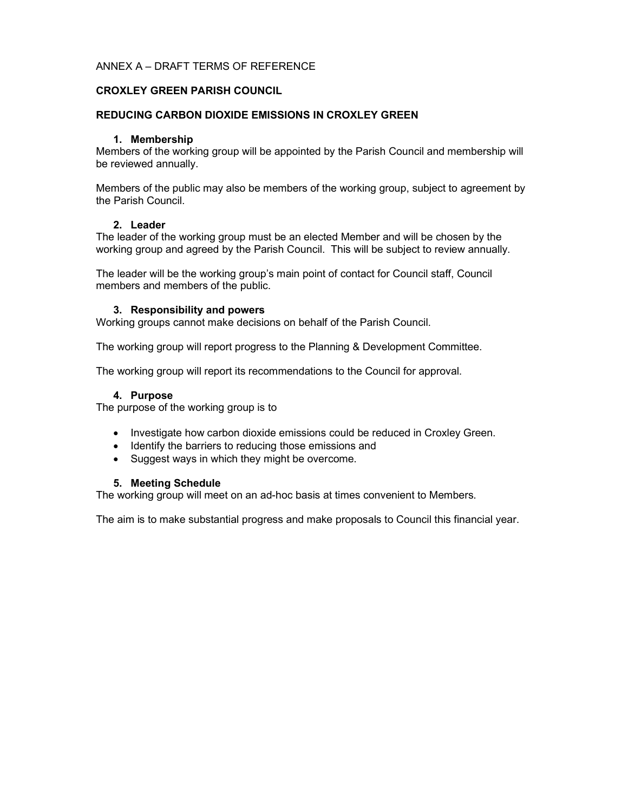# ANNEX A – DRAFT TERMS OF REFERENCE

## CROXLEY GREEN PARISH COUNCIL

### REDUCING CARBON DIOXIDE EMISSIONS IN CROXLEY GREEN

### 1. Membership

Members of the working group will be appointed by the Parish Council and membership will be reviewed annually.

Members of the public may also be members of the working group, subject to agreement by the Parish Council.

#### 2. Leader

The leader of the working group must be an elected Member and will be chosen by the working group and agreed by the Parish Council. This will be subject to review annually.

The leader will be the working group's main point of contact for Council staff, Council members and members of the public.

#### 3. Responsibility and powers

Working groups cannot make decisions on behalf of the Parish Council.

The working group will report progress to the Planning & Development Committee.

The working group will report its recommendations to the Council for approval.

#### 4. Purpose

The purpose of the working group is to

- Investigate how carbon dioxide emissions could be reduced in Croxley Green.
- Identify the barriers to reducing those emissions and
- Suggest ways in which they might be overcome.

#### 5. Meeting Schedule

The working group will meet on an ad-hoc basis at times convenient to Members.

The aim is to make substantial progress and make proposals to Council this financial year.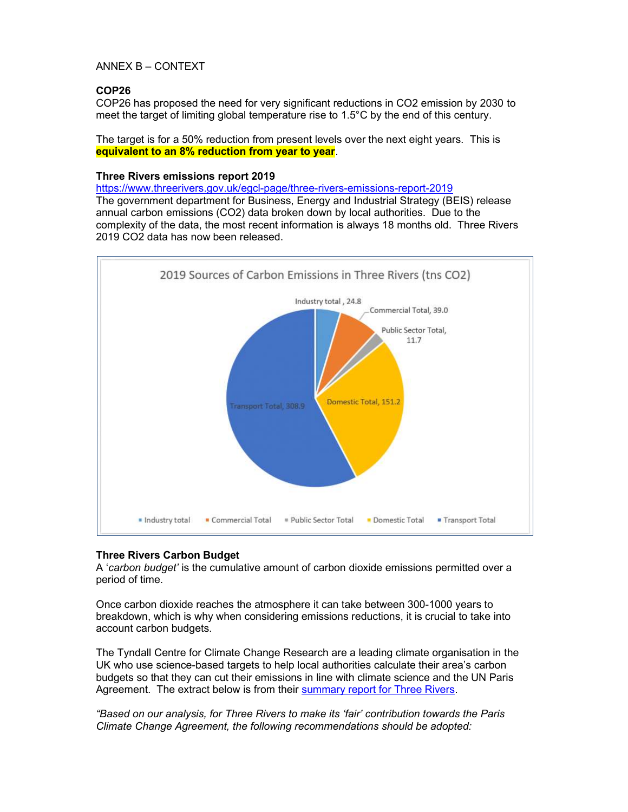# ANNEX B – CONTEXT

# COP26

COP26 has proposed the need for very significant reductions in CO2 emission by 2030 to meet the target of limiting global temperature rise to 1.5°C by the end of this century.

The target is for a 50% reduction from present levels over the next eight years. This is equivalent to an 8% reduction from year to year.

## Three Rivers emissions report 2019

https://www.threerivers.gov.uk/egcl-page/three-rivers-emissions-report-2019 The government department for Business, Energy and Industrial Strategy (BEIS) release annual carbon emissions (CO2) data broken down by local authorities. Due to the complexity of the data, the most recent information is always 18 months old. Three Rivers 2019 CO2 data has now been released.



# Three Rivers Carbon Budget

A 'carbon budget' is the cumulative amount of carbon dioxide emissions permitted over a period of time.

Once carbon dioxide reaches the atmosphere it can take between 300-1000 years to breakdown, which is why when considering emissions reductions, it is crucial to take into account carbon budgets.

The Tyndall Centre for Climate Change Research are a leading climate organisation in the UK who use science-based targets to help local authorities calculate their area's carbon budgets so that they can cut their emissions in line with climate science and the UN Paris Agreement. The extract below is from their summary report for Three Rivers.

"Based on our analysis, for Three Rivers to make its 'fair' contribution towards the Paris Climate Change Agreement, the following recommendations should be adopted: